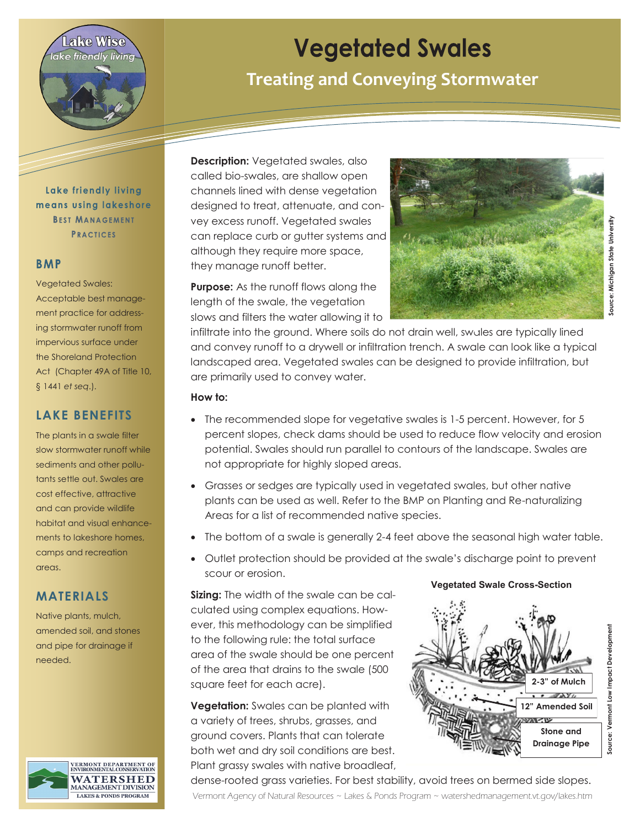

### Lake friendly living means using lakeshore **BEST MANAGEMENT PRACTICES**

#### **BMP**

Vegetated Swales: Acceptable best management practice for addressing stormwater runoff from impervious surface under the Shoreland Protection Act (Chapter 49A of Title 10, § 1441 *et seq*.).

### **LAKE BENEFITS**

The plants in a swale filter slow stormwater runoff while sediments and other pollutants settle out. Swales are cost effective, attractive and can provide wildlife habitat and visual enhancements to lakeshore homes, camps and recreation areas.

### **MATERIALS**

Native plants, mulch, amended soil, and stones and pipe for drainage if needed.



# **Vegetated Swales**

## **Treating and Conveying Stormwater**

**Description:** Vegetated swales, also called bio-swales, are shallow open channels lined with dense vegetation designed to treat, attenuate, and convey excess runoff. Vegetated swales can replace curb or gutter systems and although they require more space, they manage runoff better.

**Purpose:** As the runoff flows along the length of the swale, the vegetation slows and filters the water allowing it to



**Source: Michigan State University** source: Michigan State University

infiltrate into the ground. Where soils do not drain well, swales are typically lined and convey runoff to a drywell or infiltration trench. A swale can look like a typical landscaped area. Vegetated swales can be designed to provide infiltration, but are primarily used to convey water.

#### **How to:**

- The recommended slope for vegetative swales is 1-5 percent. However, for 5 percent slopes, check dams should be used to reduce flow velocity and erosion potential. Swales should run parallel to contours of the landscape. Swales are not appropriate for highly sloped areas.
- Grasses or sedges are typically used in vegetated swales, but other native plants can be used as well. Refer to the BMP on Planting and Re-naturalizing Areas for a list of recommended native species.
- The bottom of a swale is generally 2-4 feet above the seasonal high water table.
- Outlet protection should be provided at the swale's discharge point to prevent scour or erosion.

**Sizing:** The width of the swale can be calculated using complex equations. However, this methodology can be simplified to the following rule: the total surface area of the swale should be one percent of the area that drains to the swale (500 square feet for each acre).

**Vegetation:** Swales can be planted with a variety of trees, shrubs, grasses, and ground covers. Plants that can tolerate both wet and dry soil conditions are best. Plant grassy swales with native broadleaf,



**Vegetated Swale Cross-Section**

Vermont Agency of Natural Resources ~ Lakes & Ponds Program ~ watershedmanagement.vt.gov/lakes.htm dense-rooted grass varieties. For best stability, avoid trees on bermed side slopes.